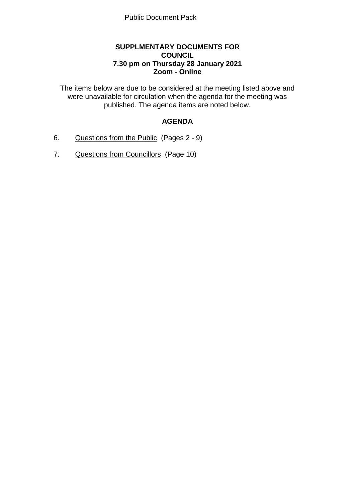## **SUPPLMENTARY DOCUMENTS FOR COUNCIL 7.30 pm on Thursday 28 January 2021 Zoom - Online**

The items below are due to be considered at the meeting listed above and were unavailable for circulation when the agenda for the meeting was published. The agenda items are noted below.

# **AGENDA**

- 6. Questions from the Public (Pages 2 9)
- 7. Questions from Councillors (Page 10)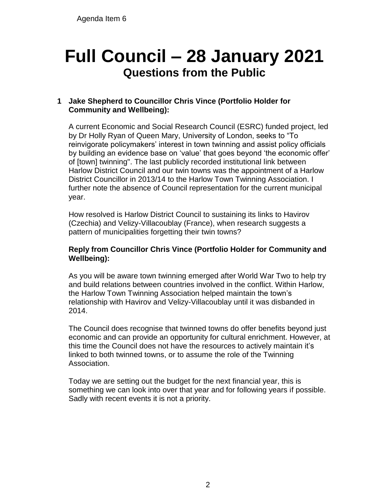# **Full Council – 28 January 2021 Questions from the Public**

# **1 Jake Shepherd to Councillor Chris Vince (Portfolio Holder for Community and Wellbeing):**

A current Economic and Social Research Council (ESRC) funded project, led by Dr Holly Ryan of Queen Mary, University of London, seeks to "To reinvigorate policymakers' interest in town twinning and assist policy officials by building an evidence base on 'value' that goes beyond 'the economic offer' of [town] twinning". The last publicly recorded institutional link between Harlow District Council and our twin towns was the appointment of a Harlow District Councillor in 2013/14 to the Harlow Town Twinning Association. I further note the absence of Council representation for the current municipal year.

How resolved is Harlow District Council to sustaining its links to Havirov (Czechia) and Velizy-Villacoublay (France), when research suggests a pattern of municipalities forgetting their twin towns?

## **Reply from Councillor Chris Vince (Portfolio Holder for Community and Wellbeing):**

As you will be aware town twinning emerged after World War Two to help try and build relations between countries involved in the conflict. Within Harlow, the Harlow Town Twinning Association helped maintain the town's relationship with Havirov and Velizy-Villacoublay until it was disbanded in 2014.

The Council does recognise that twinned towns do offer benefits beyond just economic and can provide an opportunity for cultural enrichment. However, at this time the Council does not have the resources to actively maintain it's linked to both twinned towns, or to assume the role of the Twinning Association.

Today we are setting out the budget for the next financial year, this is something we can look into over that year and for following years if possible. Sadly with recent events it is not a priority.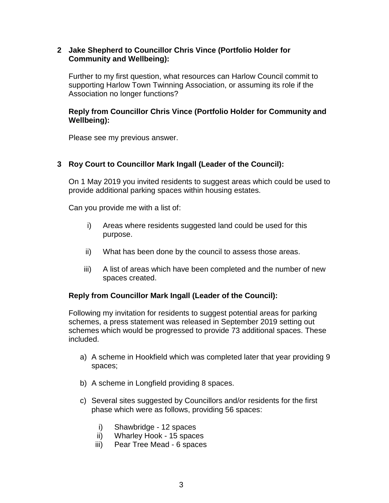#### **2 Jake Shepherd to Councillor Chris Vince (Portfolio Holder for Community and Wellbeing):**

Further to my first question, what resources can Harlow Council commit to supporting Harlow Town Twinning Association, or assuming its role if the Association no longer functions?

## **Reply from Councillor Chris Vince (Portfolio Holder for Community and Wellbeing):**

Please see my previous answer.

## **3 Roy Court to Councillor Mark Ingall (Leader of the Council):**

On 1 May 2019 you invited residents to suggest areas which could be used to provide additional parking spaces within housing estates.

Can you provide me with a list of:

- i) Areas where residents suggested land could be used for this purpose.
- ii) What has been done by the council to assess those areas.
- iii) A list of areas which have been completed and the number of new spaces created.

#### **Reply from Councillor Mark Ingall (Leader of the Council):**

Following my invitation for residents to suggest potential areas for parking schemes, a press statement was released in September 2019 setting out schemes which would be progressed to provide 73 additional spaces. These included.

- a) A scheme in Hookfield which was completed later that year providing 9 spaces;
- b) A scheme in Longfield providing 8 spaces.
- c) Several sites suggested by Councillors and/or residents for the first phase which were as follows, providing 56 spaces:
	- i) Shawbridge 12 spaces
	- ii) Wharley Hook 15 spaces
	- iii) Pear Tree Mead 6 spaces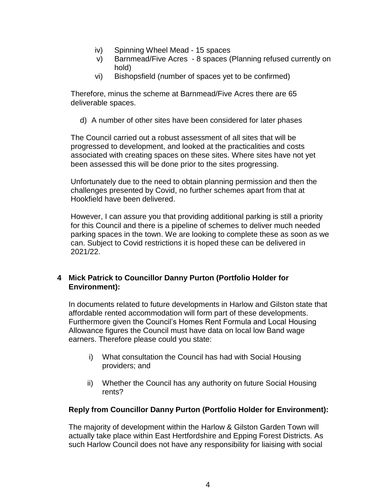- iv) Spinning Wheel Mead 15 spaces
- v) Barnmead/Five Acres 8 spaces (Planning refused currently on hold)
- vi) Bishopsfield (number of spaces yet to be confirmed)

Therefore, minus the scheme at Barnmead/Five Acres there are 65 deliverable spaces.

d) A number of other sites have been considered for later phases

The Council carried out a robust assessment of all sites that will be progressed to development, and looked at the practicalities and costs associated with creating spaces on these sites. Where sites have not yet been assessed this will be done prior to the sites progressing.

Unfortunately due to the need to obtain planning permission and then the challenges presented by Covid, no further schemes apart from that at Hookfield have been delivered.

However, I can assure you that providing additional parking is still a priority for this Council and there is a pipeline of schemes to deliver much needed parking spaces in the town. We are looking to complete these as soon as we can. Subject to Covid restrictions it is hoped these can be delivered in 2021/22.

# **4 Mick Patrick to Councillor Danny Purton (Portfolio Holder for Environment):**

In documents related to future developments in Harlow and Gilston state that affordable rented accommodation will form part of these developments. Furthermore given the Council's Homes Rent Formula and Local Housing Allowance figures the Council must have data on local low Band wage earners. Therefore please could you state:

- i) What consultation the Council has had with Social Housing providers; and
- ii) Whether the Council has any authority on future Social Housing rents?

# **Reply from Councillor Danny Purton (Portfolio Holder for Environment):**

The majority of development within the Harlow & Gilston Garden Town will actually take place within East Hertfordshire and Epping Forest Districts. As such Harlow Council does not have any responsibility for liaising with social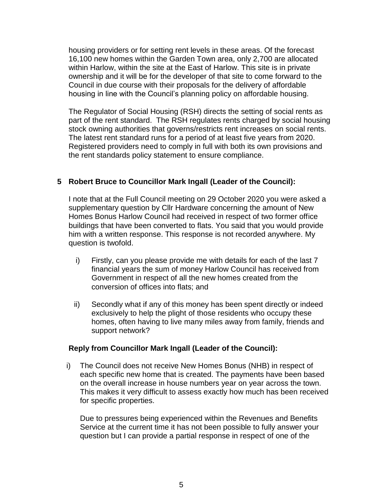housing providers or for setting rent levels in these areas. Of the forecast 16,100 new homes within the Garden Town area, only 2,700 are allocated within Harlow, within the site at the East of Harlow. This site is in private ownership and it will be for the developer of that site to come forward to the Council in due course with their proposals for the delivery of affordable housing in line with the Council's planning policy on affordable housing.

The Regulator of Social Housing (RSH) directs the setting of social rents as part of the rent standard. The RSH regulates rents charged by social housing stock owning authorities that governs/restricts rent increases on social rents. The latest rent standard runs for a period of at least five years from 2020. Registered providers need to comply in full with both its own provisions and the rent standards policy statement to ensure compliance.

## **5 Robert Bruce to Councillor Mark Ingall (Leader of the Council):**

I note that at the Full Council meeting on 29 October 2020 you were asked a supplementary question by Cllr Hardware concerning the amount of New Homes Bonus Harlow Council had received in respect of two former office buildings that have been converted to flats. You said that you would provide him with a written response. This response is not recorded anywhere. My question is twofold.

- i) Firstly, can you please provide me with details for each of the last 7 financial years the sum of money Harlow Council has received from Government in respect of all the new homes created from the conversion of offices into flats; and
- ii) Secondly what if any of this money has been spent directly or indeed exclusively to help the plight of those residents who occupy these homes, often having to live many miles away from family, friends and support network?

#### **Reply from Councillor Mark Ingall (Leader of the Council):**

i) The Council does not receive New Homes Bonus (NHB) in respect of each specific new home that is created. The payments have been based on the overall increase in house numbers year on year across the town. This makes it very difficult to assess exactly how much has been received for specific properties.

Due to pressures being experienced within the Revenues and Benefits Service at the current time it has not been possible to fully answer your question but I can provide a partial response in respect of one of the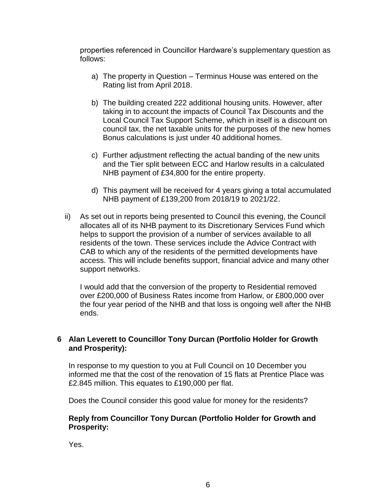properties referenced in Councillor Hardware's supplementary question as follows:

- a) The property in Question Terminus House was entered on the Rating list from April 2018.
- b) The building created 222 additional housing units. However, after taking in to account the impacts of Council Tax Discounts and the Local Council Tax Support Scheme, which in itself is a discount on council tax, the net taxable units for the purposes of the new homes Bonus calculations is just under 40 additional homes.
- c) Further adjustment reflecting the actual banding of the new units and the Tier split between ECC and Harlow results in a calculated NHB payment of £34,800 for the entire property.
- d) This payment will be received for 4 years giving a total accumulated NHB payment of £139,200 from 2018/19 to 2021/22.
- ii) As set out in reports being presented to Council this evening, the Council allocates all of its NHB payment to its Discretionary Services Fund which helps to support the provision of a number of services available to all residents of the town. These services include the Advice Contract with CAB to which any of the residents of the permitted developments have access. This will include benefits support, financial advice and many other support networks.

I would add that the conversion of the property to Residential removed over £200,000 of Business Rates income from Harlow, or £800,000 over the four year period of the NHB and that loss is ongoing well after the NHB ends.

## **6 Alan Leverett to Councillor Tony Durcan (Portfolio Holder for Growth and Prosperity):**

In response to my question to you at Full Council on 10 December you informed me that the cost of the renovation of 15 flats at Prentice Place was £2.845 million. This equates to £190,000 per flat.

Does the Council consider this good value for money for the residents?

## **Reply from Councillor Tony Durcan (Portfolio Holder for Growth and Prosperity:**

Yes.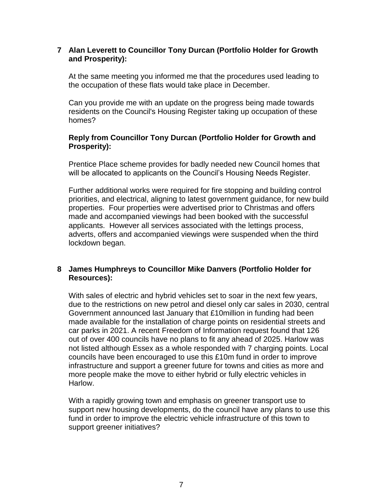#### **7 Alan Leverett to Councillor Tony Durcan (Portfolio Holder for Growth and Prosperity):**

At the same meeting you informed me that the procedures used leading to the occupation of these flats would take place in December.

Can you provide me with an update on the progress being made towards residents on the Council's Housing Register taking up occupation of these homes?

## **Reply from Councillor Tony Durcan (Portfolio Holder for Growth and Prosperity):**

Prentice Place scheme provides for badly needed new Council homes that will be allocated to applicants on the Council's Housing Needs Register.

Further additional works were required for fire stopping and building control priorities, and electrical, aligning to latest government guidance, for new build properties. Four properties were advertised prior to Christmas and offers made and accompanied viewings had been booked with the successful applicants. However all services associated with the lettings process, adverts, offers and accompanied viewings were suspended when the third lockdown began.

## **8 James Humphreys to Councillor Mike Danvers (Portfolio Holder for Resources):**

With sales of electric and hybrid vehicles set to soar in the next few years, due to the restrictions on new petrol and diesel only car sales in 2030, central Government announced last January that £10million in funding had been made available for the installation of charge points on residential streets and car parks in 2021. A recent Freedom of Information request found that 126 out of over 400 councils have no plans to fit any ahead of 2025. Harlow was not listed although Essex as a whole responded with 7 charging points. Local councils have been encouraged to use this £10m fund in order to improve infrastructure and support a greener future for towns and cities as more and more people make the move to either hybrid or fully electric vehicles in Harlow.

With a rapidly growing town and emphasis on greener transport use to support new housing developments, do the council have any plans to use this fund in order to improve the electric vehicle infrastructure of this town to support greener initiatives?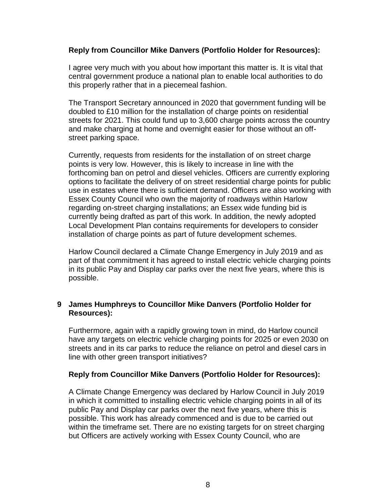#### **Reply from Councillor Mike Danvers (Portfolio Holder for Resources):**

I agree very much with you about how important this matter is. It is vital that central government produce a national plan to enable local authorities to do this properly rather that in a piecemeal fashion.

The Transport Secretary announced in 2020 that government funding will be doubled to £10 million for the installation of charge points on residential streets for 2021. This could fund up to 3,600 charge points across the country and make charging at home and overnight easier for those without an offstreet parking space.

Currently, requests from residents for the installation of on street charge points is very low. However, this is likely to increase in line with the forthcoming ban on petrol and diesel vehicles. Officers are currently exploring options to facilitate the delivery of on street residential charge points for public use in estates where there is sufficient demand. Officers are also working with Essex County Council who own the majority of roadways within Harlow regarding on-street charging installations; an Essex wide funding bid is currently being drafted as part of this work. In addition, the newly adopted Local Development Plan contains requirements for developers to consider installation of charge points as part of future development schemes.

Harlow Council declared a Climate Change Emergency in July 2019 and as part of that commitment it has agreed to install electric vehicle charging points in its public Pay and Display car parks over the next five years, where this is possible.

## **9 James Humphreys to Councillor Mike Danvers (Portfolio Holder for Resources):**

Furthermore, again with a rapidly growing town in mind, do Harlow council have any targets on electric vehicle charging points for 2025 or even 2030 on streets and in its car parks to reduce the reliance on petrol and diesel cars in line with other green transport initiatives?

#### **Reply from Councillor Mike Danvers (Portfolio Holder for Resources):**

A Climate Change Emergency was declared by Harlow Council in July 2019 in which it committed to installing electric vehicle charging points in all of its public Pay and Display car parks over the next five years, where this is possible. This work has already commenced and is due to be carried out within the timeframe set. There are no existing targets for on street charging but Officers are actively working with Essex County Council, who are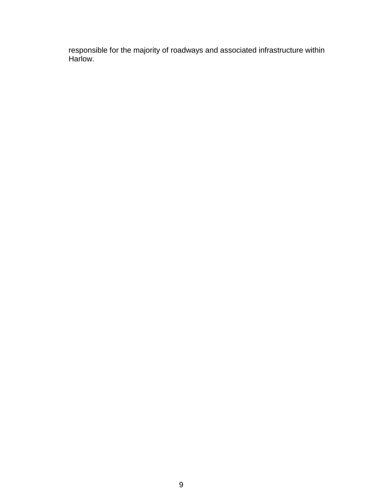responsible for the majority of roadways and associated infrastructure within Harlow.